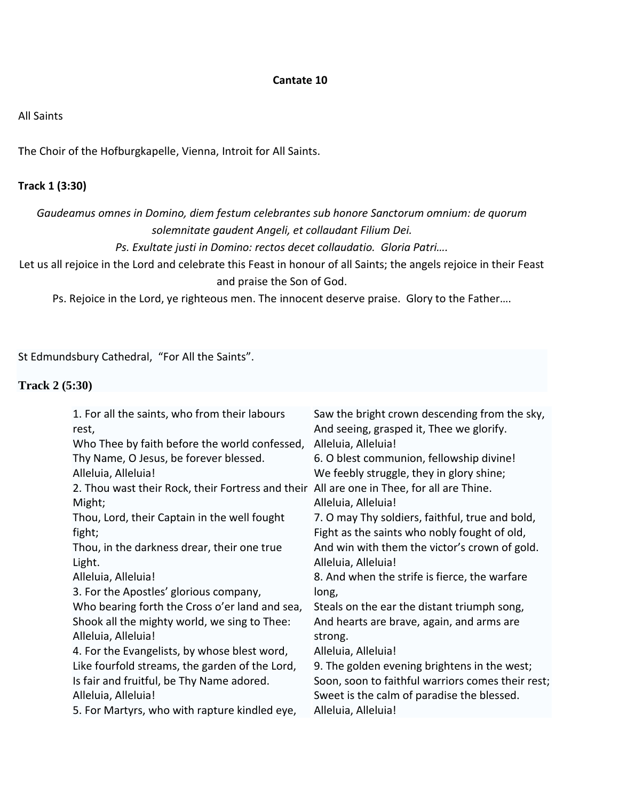#### **Cantate 10**

#### All Saints

**T**he Choir of the Hofburgkapelle, Vienna, Introit for All Saints.

# **Track 1 (3:30)**

*Gaudeamus omnes in Domino, diem festum celebrantes sub honore Sanctorum omnium: de quorum solemnitate gaudent Angeli, et collaudant Filium Dei.*

*Ps. Exultate justi in Domino: rectos decet collaudatio. Gloria Patri….*

Let us all rejoice in the Lord and celebrate this Feast in honour of all Saints; the angels rejoice in their Feast and praise the Son of God.

Ps. Rejoice in the Lord, ye righteous men. The innocent deserve praise. Glory to the Father….

St Edmundsbury Cathedral, "For All the Saints".

### **Track 2 (5:30)**

| 1. For all the saints, who from their labours<br>rest,                                    | Saw the bright crown descending from the sky,<br>And seeing, grasped it, Thee we glorify. |
|-------------------------------------------------------------------------------------------|-------------------------------------------------------------------------------------------|
| Who Thee by faith before the world confessed,                                             | Alleluia, Alleluia!                                                                       |
| Thy Name, O Jesus, be forever blessed.                                                    | 6. O blest communion, fellowship divine!                                                  |
| Alleluia, Alleluia!                                                                       | We feebly struggle, they in glory shine;                                                  |
| 2. Thou wast their Rock, their Fortress and their All are one in Thee, for all are Thine. |                                                                                           |
| Might;                                                                                    | Alleluia, Alleluia!                                                                       |
| Thou, Lord, their Captain in the well fought                                              | 7. O may Thy soldiers, faithful, true and bold,                                           |
| fight;                                                                                    | Fight as the saints who nobly fought of old,                                              |
| Thou, in the darkness drear, their one true                                               | And win with them the victor's crown of gold.                                             |
| Light.                                                                                    | Alleluia, Alleluia!                                                                       |
| Alleluia, Alleluia!                                                                       | 8. And when the strife is fierce, the warfare                                             |
| 3. For the Apostles' glorious company,                                                    | long,                                                                                     |
| Who bearing forth the Cross o'er land and sea,                                            | Steals on the ear the distant triumph song,                                               |
| Shook all the mighty world, we sing to Thee:                                              | And hearts are brave, again, and arms are                                                 |
| Alleluia, Alleluia!                                                                       | strong.                                                                                   |
| 4. For the Evangelists, by whose blest word,                                              | Alleluia, Alleluia!                                                                       |
| Like fourfold streams, the garden of the Lord,                                            | 9. The golden evening brightens in the west;                                              |
| Is fair and fruitful, be Thy Name adored.                                                 | Soon, soon to faithful warriors comes their rest;                                         |
| Alleluia, Alleluia!                                                                       | Sweet is the calm of paradise the blessed.                                                |
| 5. For Martyrs, who with rapture kindled eye,                                             | Alleluia, Alleluia!                                                                       |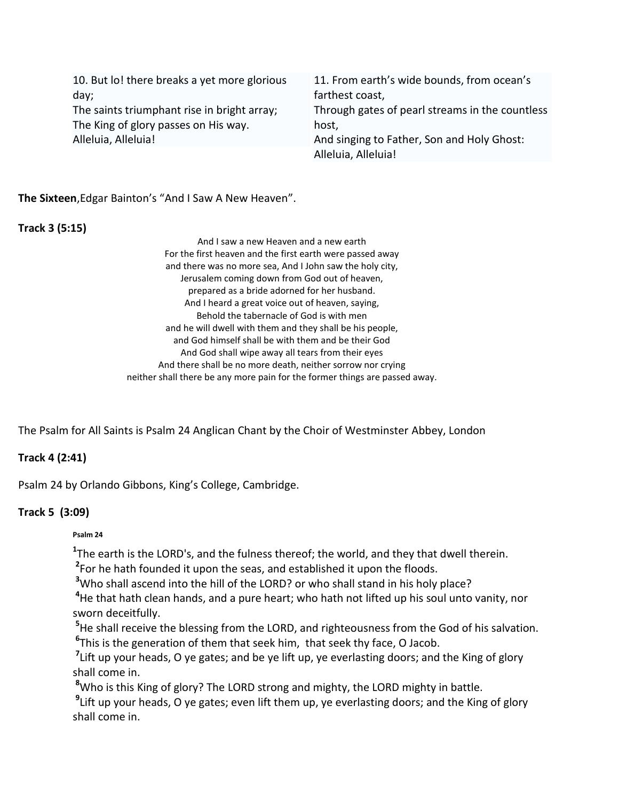10. But lo! there breaks a yet more glorious day; The saints triumphant rise in bright array;

The King of glory passes on His way. Alleluia, Alleluia!

11. From earth's wide bounds, from ocean's farthest coast, Through gates of pearl streams in the countless host, And singing to Father, Son and Holy Ghost: Alleluia, Alleluia!

**The Sixteen**,Edgar Bainton's "And I Saw A New Heaven".

## **Track 3 (5:15)**

And I saw a new Heaven and a new earth For the first heaven and the first earth were passed away and there was no more sea, And I John saw the holy city, Jerusalem coming down from God out of heaven, prepared as a bride adorned for her husband. And I heard a great voice out of heaven, saying, Behold the tabernacle of God is with men and he will dwell with them and they shall be his people, and God himself shall be with them and be their God And God shall wipe away all tears from their eyes And there shall be no more death, neither sorrow nor crying neither shall there be any more pain for the former things are passed away.

The Psalm for All Saints is Psalm 24 Anglican Chant by the Choir of Westminster Abbey, London

# **Track 4 (2:41)**

Psalm 24 by Orlando Gibbons, King's College, Cambridge.

# **Track 5 (3:09)**

### **Psalm 24**

**1** The earth is the LORD's, and the fulness thereof; the world, and they that dwell therein. **2** For he hath founded it upon the seas, and established it upon the floods.

**<sup>3</sup>**Who shall ascend into the hill of the LORD? or who shall stand in his holy place?

**<sup>4</sup>**He that hath clean hands, and a pure heart; who hath not lifted up his soul unto vanity, nor sworn deceitfully.

**<sup>5</sup>**He shall receive the blessing from the LORD, and righteousness from the God of his salvation. **6** This is the generation of them that seek him, that seek thy face, O Jacob.

<sup>7</sup>Lift up your heads, O ye gates; and be ye lift up, ye everlasting doors; and the King of glory shall come in.

**<sup>8</sup>**Who is this King of glory? The LORD strong and mighty, the LORD mighty in battle.

**9** Lift up your heads, O ye gates; even lift them up, ye everlasting doors; and the King of glory shall come in.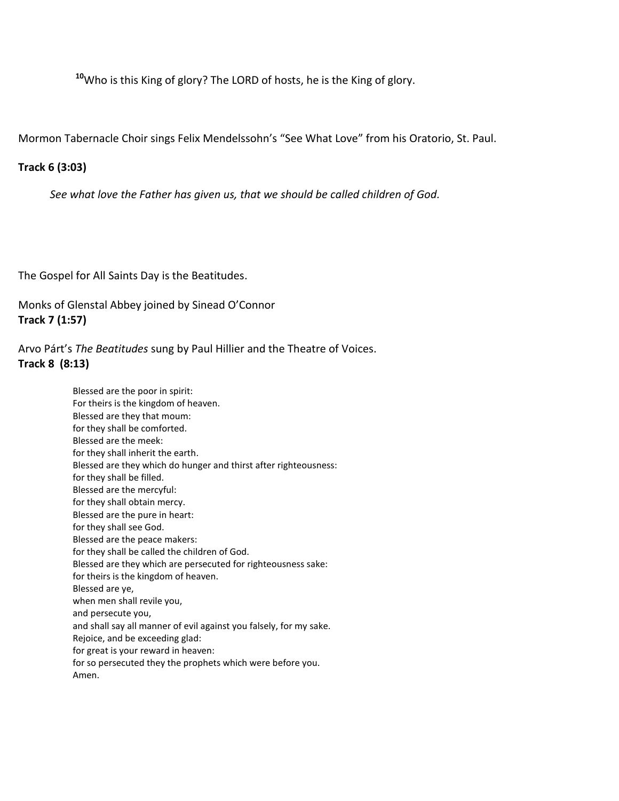**<sup>10</sup>**Who is this King of glory? The LORD of hosts, he is the King of glory.

Mormon Tabernacle Choir sings Felix Mendelssohn's "See What Love" from his Oratorio, St. Paul.

## **Track 6 (3:03)**

*[See what love the Father has given us, that we should be called children of God.](http://www.hymnary.org/text/readings)*

The Gospel for All Saints Day is the Beatitudes.

Monks of Glenstal Abbey joined by Sinead O'Connor **Track 7 (1:57)**

Arvo Párt's *The Beatitudes* sung by Paul Hillier and the Theatre of Voices. **Track 8 (8:13)**

> Blessed are the poor in spirit: For theirs is the kingdom of heaven. Blessed are they that moum: for they shall be comforted. Blessed are the meek: for they shall inherit the earth. Blessed are they which do hunger and thirst after righteousness: for they shall be filled. Blessed are the mercyful: for they shall obtain mercy. Blessed are the pure in heart: for they shall see God. Blessed are the peace makers: for they shall be called the children of God. Blessed are they which are persecuted for righteousness sake: for theirs is the kingdom of heaven. Blessed are ye, when men shall revile you, and persecute you, and shall say all manner of evil against you falsely, for my sake. Rejoice, and be exceeding glad: for great is your reward in heaven: for so persecuted they the prophets which were before you. Amen.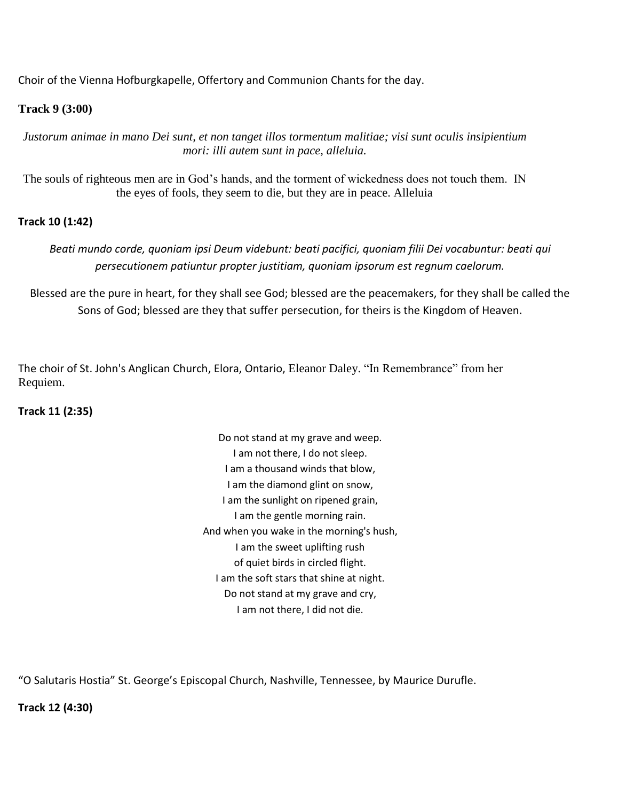Choir of the Vienna Hofburgkapelle, Offertory and Communion Chants for the day.

## **Track 9 (3:00)**

*Justorum animae in mano Dei sunt, et non tanget illos tormentum malitiae; visi sunt oculis insipientium mori: illi autem sunt in pace, alleluia.*

The souls of righteous men are in God's hands, and the torment of wickedness does not touch them. IN the eyes of fools, they seem to die, but they are in peace. Alleluia

## **Track 10 (1:42)**

*Beati mundo corde, quoniam ipsi Deum videbunt: beati pacifici, quoniam filii Dei vocabuntur: beati qui persecutionem patiuntur propter justitiam, quoniam ipsorum est regnum caelorum.*

Blessed are the pure in heart, for they shall see God; blessed are the peacemakers, for they shall be called the Sons of God; blessed are they that suffer persecution, for theirs is the Kingdom of Heaven.

The choir of St. John's Anglican Church, Elora, Ontario, Eleanor Daley. "In Remembrance" from her Requiem.

### **Track 11 (2:35)**

Do not stand at my grave and weep. I am not there, I do not sleep. I am a thousand winds that blow, I am the diamond glint on snow, I am the sunlight on ripened grain, I am the gentle morning rain. And when you wake in the morning's hush, I am the sweet uplifting rush of quiet birds in circled flight. I am the soft stars that shine at night. Do not stand at my grave and cry, I am not there, I did not die.

"O Salutaris Hostia" St. George's Episcopal Church, Nashville, Tennessee, by Maurice Durufle.

**Track 12 (4:30)**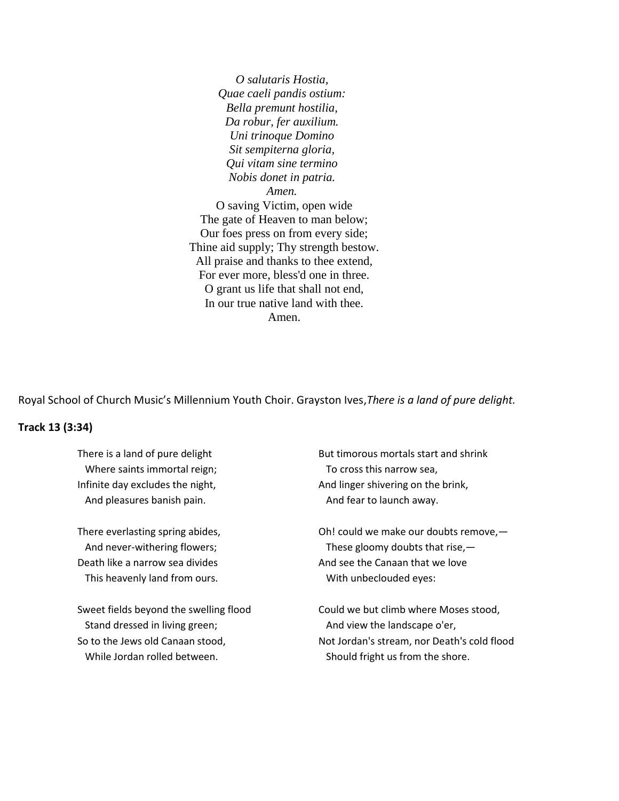*O salutaris Hostia, Quae caeli pandis ostium: Bella premunt hostilia, Da robur, fer auxilium. Uni trinoque Domino Sit sempiterna gloria, Qui vitam sine termino Nobis donet in patria. Amen.* O saving Victim, open wide The gate of Heaven to man below; Our foes press on from every side; Thine aid supply; Thy strength bestow. All praise and thanks to thee extend, For ever more, bless'd one in three. O grant us life that shall not end, In our true native land with thee. Amen.

Royal School of Church Music's Millennium Youth Choir. Grayston Ives,*There is a land of pure delight.*

#### **Track 13 (3:34)**

There is a land of pure delight Where saints immortal reign; Infinite day excludes the night, And pleasures banish pain.

There everlasting spring abides, And never-withering flowers; Death like a narrow sea divides This heavenly land from ours.

Sweet fields beyond the swelling flood Stand dressed in living green; So to the Jews old Canaan stood, While Jordan rolled between.

But timorous mortals start and shrink To cross this narrow sea, And linger shivering on the brink, And fear to launch away.

Oh! could we make our doubts remove,— These gloomy doubts that rise, $-$ And see the Canaan that we love With unbeclouded eyes:

Could we but climb where Moses stood, And view the landscape o'er, Not Jordan's stream, nor Death's cold flood Should fright us from the shore.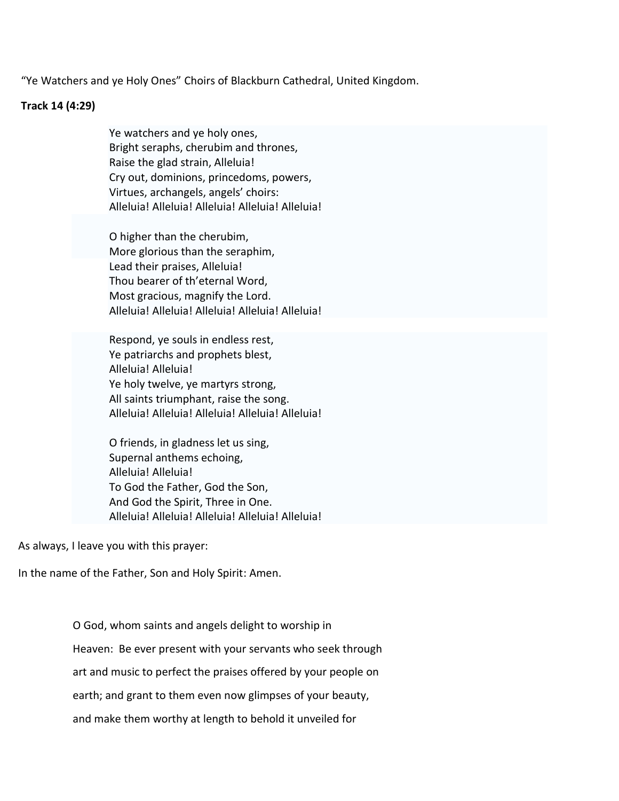"Ye Watchers and ye Holy Ones" Choirs of Blackburn Cathedral, United Kingdom.

#### **Track 14 (4:29)**

Ye watchers and ye holy ones, Bright seraphs, cherubim and thrones, Raise the glad strain, Alleluia! Cry out, dominions, princedoms, powers, Virtues, archangels, angels' choirs: Alleluia! Alleluia! Alleluia! Alleluia! Alleluia!

O higher than the cherubim, More glorious than the seraphim, Lead their praises, Alleluia! Thou bearer of th'eternal Word, Most gracious, magnify the Lord. Alleluia! Alleluia! Alleluia! Alleluia! Alleluia!

Respond, ye souls in endless rest, Ye patriarchs and prophets blest, Alleluia! Alleluia! Ye holy twelve, ye martyrs strong, All saints triumphant, raise the song. Alleluia! Alleluia! Alleluia! Alleluia! Alleluia!

O friends, in gladness let us sing, Supernal anthems echoing, Alleluia! Alleluia! To God the Father, God the Son, And God the Spirit, Three in One. Alleluia! Alleluia! Alleluia! Alleluia! Alleluia!

As always, I leave you with this prayer:

In the name of the Father, Son and Holy Spirit: Amen.

O God, whom saints and angels delight to worship in Heaven: Be ever present with your servants who seek through art and music to perfect the praises offered by your people on earth; and grant to them even now glimpses of your beauty, and make them worthy at length to behold it unveiled for